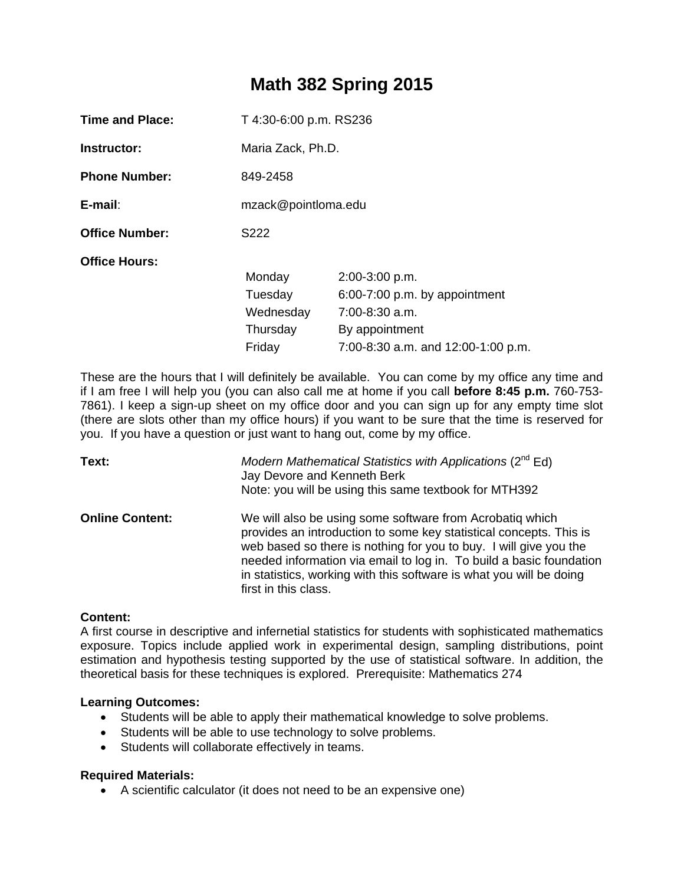# **Math 382 Spring 2015**

| <b>Time and Place:</b> | T 4:30-6:00 p.m. RS236 |                                    |
|------------------------|------------------------|------------------------------------|
| Instructor:            | Maria Zack, Ph.D.      |                                    |
| <b>Phone Number:</b>   | 849-2458               |                                    |
| E-mail:                | mzack@pointloma.edu    |                                    |
| <b>Office Number:</b>  | S222                   |                                    |
| <b>Office Hours:</b>   |                        |                                    |
|                        | Monday                 | 2:00-3:00 p.m.                     |
|                        | Tuesday                | $6:00-7:00$ p.m. by appointment    |
|                        | Wednesday              | $7:00-8:30$ a.m.                   |
|                        | Thursday               | By appointment                     |
|                        | Friday                 | 7:00-8:30 a.m. and 12:00-1:00 p.m. |

These are the hours that I will definitely be available. You can come by my office any time and if I am free I will help you (you can also call me at home if you call **before 8:45 p.m.** 760-753- 7861). I keep a sign-up sheet on my office door and you can sign up for any empty time slot (there are slots other than my office hours) if you want to be sure that the time is reserved for you. If you have a question or just want to hang out, come by my office.

| Text:                  | Modern Mathematical Statistics with Applications ( $2^{nd}$ Ed)<br>Jay Devore and Kenneth Berk<br>Note: you will be using this same textbook for MTH392                                                                                                                                                                                                                   |
|------------------------|---------------------------------------------------------------------------------------------------------------------------------------------------------------------------------------------------------------------------------------------------------------------------------------------------------------------------------------------------------------------------|
| <b>Online Content:</b> | We will also be using some software from Acrobatiq which<br>provides an introduction to some key statistical concepts. This is<br>web based so there is nothing for you to buy. I will give you the<br>needed information via email to log in. To build a basic foundation<br>in statistics, working with this software is what you will be doing<br>first in this class. |

# **Content:**

A first course in descriptive and infernetial statistics for students with sophisticated mathematics exposure. Topics include applied work in experimental design, sampling distributions, point estimation and hypothesis testing supported by the use of statistical software. In addition, the theoretical basis for these techniques is explored. Prerequisite: Mathematics 274

#### **Learning Outcomes:**

- Students will be able to apply their mathematical knowledge to solve problems.
- Students will be able to use technology to solve problems.
- Students will collaborate effectively in teams.

#### **Required Materials:**

A scientific calculator (it does not need to be an expensive one)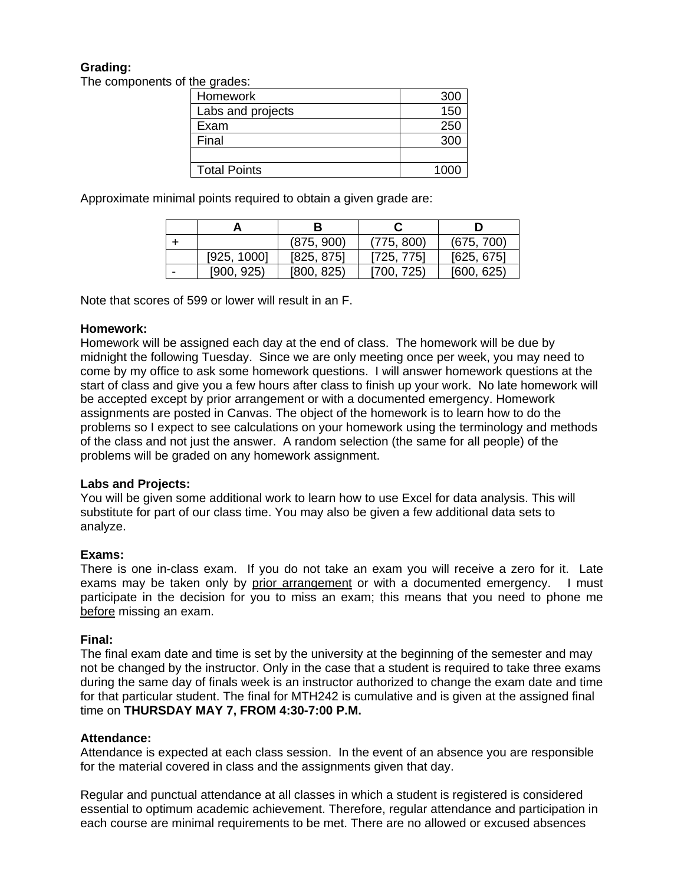# **Grading:**

The components of the grades:

| 10, 91, 000         |      |
|---------------------|------|
| Homework            | 300  |
| Labs and projects   | 150  |
| Exam                | 250  |
| Final               | 300  |
|                     |      |
| <b>Total Points</b> | 1000 |

Approximate minimal points required to obtain a given grade are:

|   |             | (875, 900) | (775, 800) | (675, 700) |
|---|-------------|------------|------------|------------|
|   | [925, 1000] | [825, 875] | [725, 775] | [625, 675] |
| - | [900, 925]  | [800, 825] | [700, 725) | [600, 625] |

Note that scores of 599 or lower will result in an F.

## **Homework:**

Homework will be assigned each day at the end of class. The homework will be due by midnight the following Tuesday. Since we are only meeting once per week, you may need to come by my office to ask some homework questions. I will answer homework questions at the start of class and give you a few hours after class to finish up your work. No late homework will be accepted except by prior arrangement or with a documented emergency. Homework assignments are posted in Canvas. The object of the homework is to learn how to do the problems so I expect to see calculations on your homework using the terminology and methods of the class and not just the answer. A random selection (the same for all people) of the problems will be graded on any homework assignment.

# **Labs and Projects:**

You will be given some additional work to learn how to use Excel for data analysis. This will substitute for part of our class time. You may also be given a few additional data sets to analyze.

# **Exams:**

There is one in-class exam. If you do not take an exam you will receive a zero for it. Late exams may be taken only by prior arrangement or with a documented emergency. I must participate in the decision for you to miss an exam; this means that you need to phone me before missing an exam.

#### **Final:**

The final exam date and time is set by the university at the beginning of the semester and may not be changed by the instructor. Only in the case that a student is required to take three exams during the same day of finals week is an instructor authorized to change the exam date and time for that particular student. The final for MTH242 is cumulative and is given at the assigned final time on **THURSDAY MAY 7, FROM 4:30-7:00 P.M.**

# **Attendance:**

Attendance is expected at each class session. In the event of an absence you are responsible for the material covered in class and the assignments given that day.

Regular and punctual attendance at all classes in which a student is registered is considered essential to optimum academic achievement. Therefore, regular attendance and participation in each course are minimal requirements to be met. There are no allowed or excused absences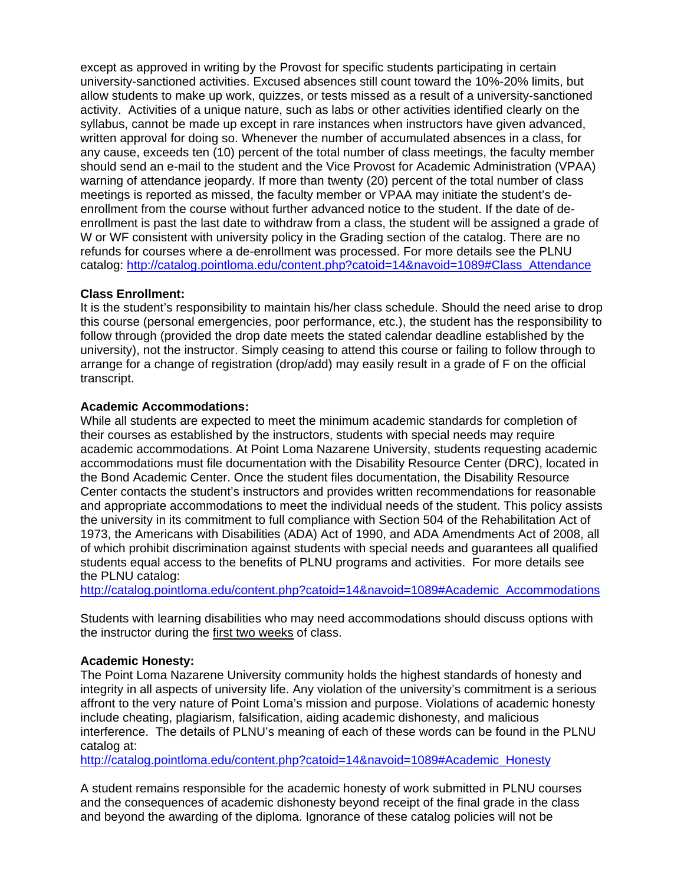except as approved in writing by the Provost for specific students participating in certain university-sanctioned activities. Excused absences still count toward the 10%-20% limits, but allow students to make up work, quizzes, or tests missed as a result of a university-sanctioned activity. Activities of a unique nature, such as labs or other activities identified clearly on the syllabus, cannot be made up except in rare instances when instructors have given advanced, written approval for doing so. Whenever the number of accumulated absences in a class, for any cause, exceeds ten (10) percent of the total number of class meetings, the faculty member should send an e-mail to the student and the Vice Provost for Academic Administration (VPAA) warning of attendance jeopardy. If more than twenty (20) percent of the total number of class meetings is reported as missed, the faculty member or VPAA may initiate the student's deenrollment from the course without further advanced notice to the student. If the date of deenrollment is past the last date to withdraw from a class, the student will be assigned a grade of W or WF consistent with university policy in the Grading section of the catalog. There are no refunds for courses where a de-enrollment was processed. For more details see the PLNU catalog: http://catalog.pointloma.edu/content.php?catoid=14&navoid=1089#Class\_Attendance

## **Class Enrollment:**

It is the student's responsibility to maintain his/her class schedule. Should the need arise to drop this course (personal emergencies, poor performance, etc.), the student has the responsibility to follow through (provided the drop date meets the stated calendar deadline established by the university), not the instructor. Simply ceasing to attend this course or failing to follow through to arrange for a change of registration (drop/add) may easily result in a grade of F on the official transcript.

## **Academic Accommodations:**

While all students are expected to meet the minimum academic standards for completion of their courses as established by the instructors, students with special needs may require academic accommodations. At Point Loma Nazarene University, students requesting academic accommodations must file documentation with the Disability Resource Center (DRC), located in the Bond Academic Center. Once the student files documentation, the Disability Resource Center contacts the student's instructors and provides written recommendations for reasonable and appropriate accommodations to meet the individual needs of the student. This policy assists the university in its commitment to full compliance with Section 504 of the Rehabilitation Act of 1973, the Americans with Disabilities (ADA) Act of 1990, and ADA Amendments Act of 2008, all of which prohibit discrimination against students with special needs and guarantees all qualified students equal access to the benefits of PLNU programs and activities. For more details see the PLNU catalog:

http://catalog.pointloma.edu/content.php?catoid=14&navoid=1089#Academic\_Accommodations

Students with learning disabilities who may need accommodations should discuss options with the instructor during the first two weeks of class.

# **Academic Honesty:**

The Point Loma Nazarene University community holds the highest standards of honesty and integrity in all aspects of university life. Any violation of the university's commitment is a serious affront to the very nature of Point Loma's mission and purpose. Violations of academic honesty include cheating, plagiarism, falsification, aiding academic dishonesty, and malicious interference. The details of PLNU's meaning of each of these words can be found in the PLNU catalog at:

http://catalog.pointloma.edu/content.php?catoid=14&navoid=1089#Academic\_Honesty

A student remains responsible for the academic honesty of work submitted in PLNU courses and the consequences of academic dishonesty beyond receipt of the final grade in the class and beyond the awarding of the diploma. Ignorance of these catalog policies will not be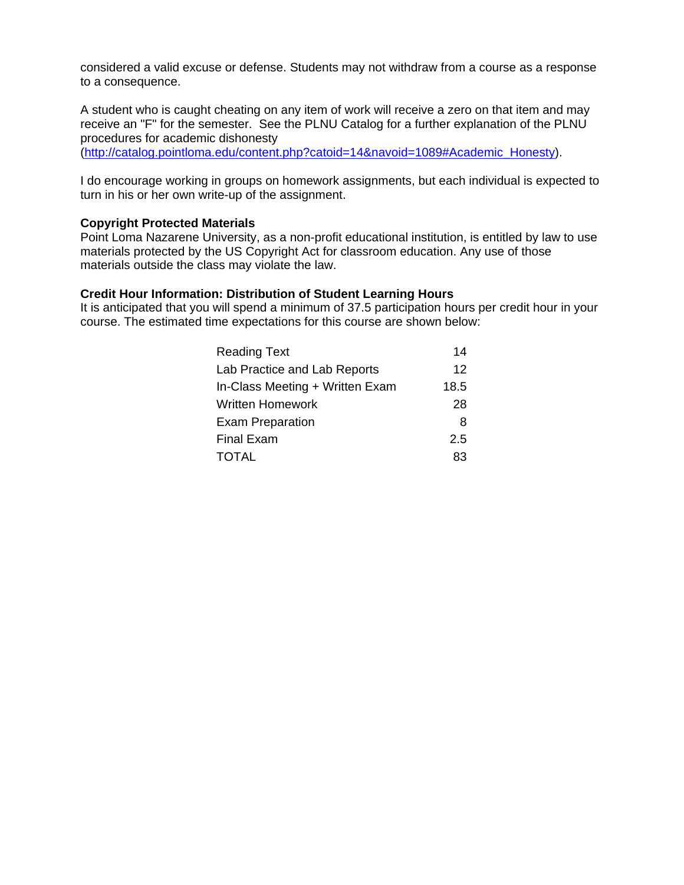considered a valid excuse or defense. Students may not withdraw from a course as a response to a consequence.

A student who is caught cheating on any item of work will receive a zero on that item and may receive an "F" for the semester. See the PLNU Catalog for a further explanation of the PLNU procedures for academic dishonesty

(http://catalog.pointloma.edu/content.php?catoid=14&navoid=1089#Academic\_Honesty).

I do encourage working in groups on homework assignments, but each individual is expected to turn in his or her own write-up of the assignment.

#### **Copyright Protected Materials**

Point Loma Nazarene University, as a non-profit educational institution, is entitled by law to use materials protected by the US Copyright Act for classroom education. Any use of those materials outside the class may violate the law.

#### **Credit Hour Information: Distribution of Student Learning Hours**

It is anticipated that you will spend a minimum of 37.5 participation hours per credit hour in your course. The estimated time expectations for this course are shown below:

| <b>Reading Text</b>             | 14   |
|---------------------------------|------|
| Lab Practice and Lab Reports    | 12   |
| In-Class Meeting + Written Exam | 18.5 |
| <b>Written Homework</b>         | 28   |
| <b>Exam Preparation</b>         | 8    |
| <b>Final Exam</b>               | 2.5  |
| <b>TOTAL</b>                    | 83   |